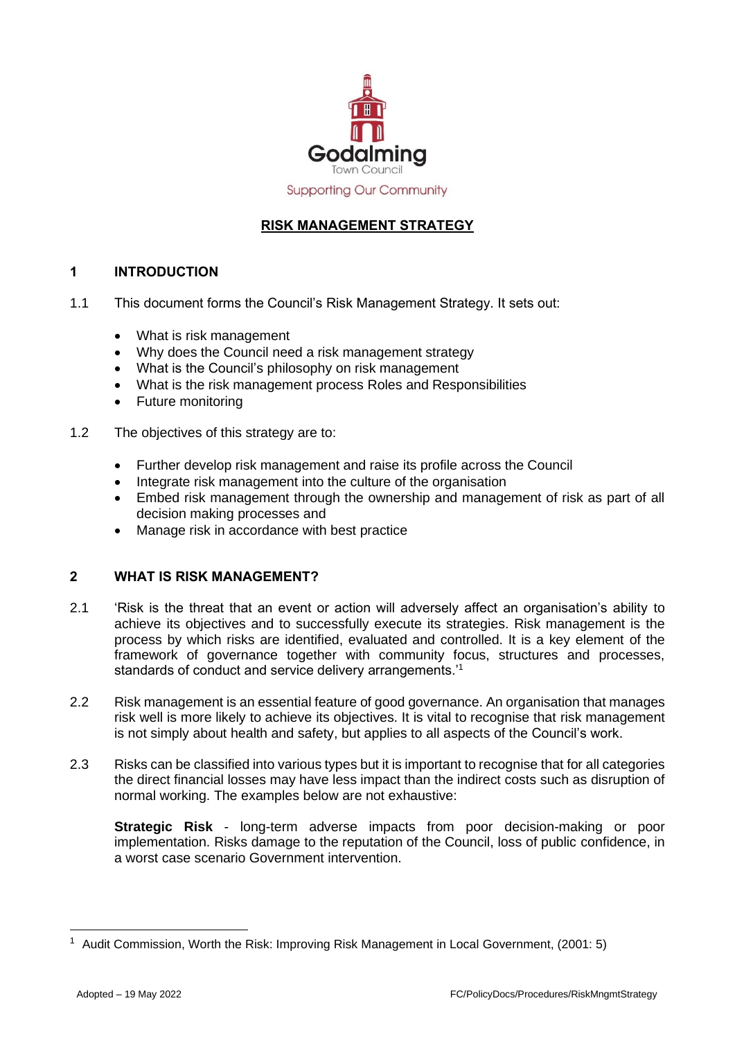

**Supporting Our Community** 

# **RISK MANAGEMENT STRATEGY**

# **1 INTRODUCTION**

- 1.1 This document forms the Council's Risk Management Strategy. It sets out:
	- What is risk management
	- Why does the Council need a risk management strategy
	- What is the Council's philosophy on risk management
	- What is the risk management process Roles and Responsibilities
	- Future monitoring
- 1.2 The objectives of this strategy are to:
	- Further develop risk management and raise its profile across the Council
	- Integrate risk management into the culture of the organisation
	- Embed risk management through the ownership and management of risk as part of all decision making processes and
	- Manage risk in accordance with best practice

## **2 WHAT IS RISK MANAGEMENT?**

- 2.1 'Risk is the threat that an event or action will adversely affect an organisation's ability to achieve its objectives and to successfully execute its strategies. Risk management is the process by which risks are identified, evaluated and controlled. It is a key element of the framework of governance together with community focus, structures and processes, standards of conduct and service delivery arrangements.'<sup>1</sup>
- 2.2 Risk management is an essential feature of good governance. An organisation that manages risk well is more likely to achieve its objectives. It is vital to recognise that risk management is not simply about health and safety, but applies to all aspects of the Council's work.
- 2.3 Risks can be classified into various types but it is important to recognise that for all categories the direct financial losses may have less impact than the indirect costs such as disruption of normal working. The examples below are not exhaustive:

**Strategic Risk** - long-term adverse impacts from poor decision-making or poor implementation. Risks damage to the reputation of the Council, loss of public confidence, in a worst case scenario Government intervention.

<sup>&</sup>lt;sup>1</sup> Audit Commission, Worth the Risk: Improving Risk Management in Local Government, (2001: 5)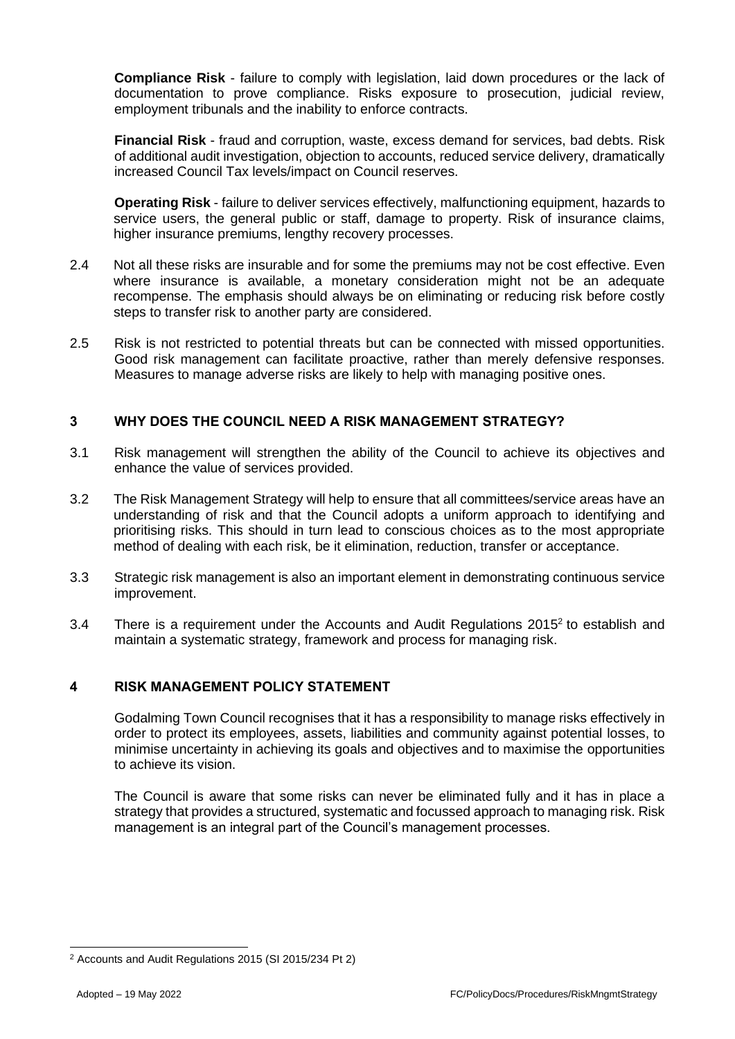**Compliance Risk** - failure to comply with legislation, laid down procedures or the lack of documentation to prove compliance. Risks exposure to prosecution, judicial review, employment tribunals and the inability to enforce contracts.

**Financial Risk** - fraud and corruption, waste, excess demand for services, bad debts. Risk of additional audit investigation, objection to accounts, reduced service delivery, dramatically increased Council Tax levels/impact on Council reserves.

**Operating Risk** - failure to deliver services effectively, malfunctioning equipment, hazards to service users, the general public or staff, damage to property. Risk of insurance claims, higher insurance premiums, lengthy recovery processes.

- 2.4 Not all these risks are insurable and for some the premiums may not be cost effective. Even where insurance is available, a monetary consideration might not be an adequate recompense. The emphasis should always be on eliminating or reducing risk before costly steps to transfer risk to another party are considered.
- 2.5 Risk is not restricted to potential threats but can be connected with missed opportunities. Good risk management can facilitate proactive, rather than merely defensive responses. Measures to manage adverse risks are likely to help with managing positive ones.

## **3 WHY DOES THE COUNCIL NEED A RISK MANAGEMENT STRATEGY?**

- 3.1 Risk management will strengthen the ability of the Council to achieve its objectives and enhance the value of services provided.
- 3.2 The Risk Management Strategy will help to ensure that all committees/service areas have an understanding of risk and that the Council adopts a uniform approach to identifying and prioritising risks. This should in turn lead to conscious choices as to the most appropriate method of dealing with each risk, be it elimination, reduction, transfer or acceptance.
- 3.3 Strategic risk management is also an important element in demonstrating continuous service improvement.
- 3.4 There is a requirement under the Accounts and Audit Regulations  $2015<sup>2</sup>$  to establish and maintain a systematic strategy, framework and process for managing risk.

### **4 RISK MANAGEMENT POLICY STATEMENT**

Godalming Town Council recognises that it has a responsibility to manage risks effectively in order to protect its employees, assets, liabilities and community against potential losses, to minimise uncertainty in achieving its goals and objectives and to maximise the opportunities to achieve its vision.

The Council is aware that some risks can never be eliminated fully and it has in place a strategy that provides a structured, systematic and focussed approach to managing risk. Risk management is an integral part of the Council's management processes.

<sup>2</sup> Accounts and Audit Regulations 2015 (SI 2015/234 Pt 2)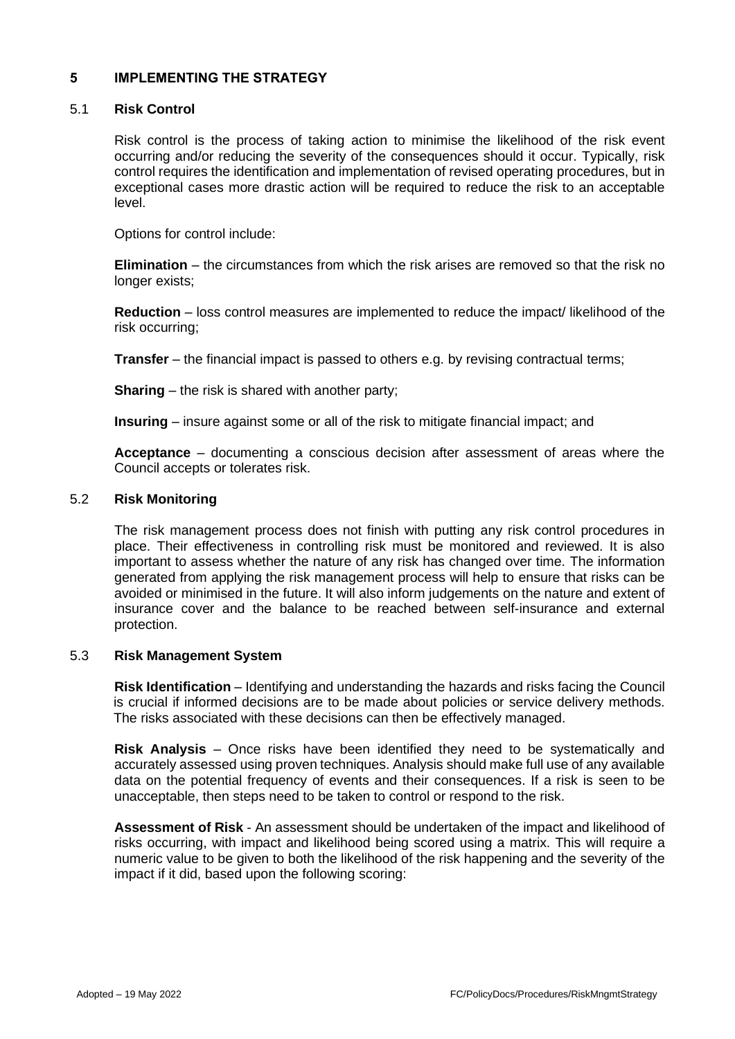## **5 IMPLEMENTING THE STRATEGY**

#### 5.1 **Risk Control**

Risk control is the process of taking action to minimise the likelihood of the risk event occurring and/or reducing the severity of the consequences should it occur. Typically, risk control requires the identification and implementation of revised operating procedures, but in exceptional cases more drastic action will be required to reduce the risk to an acceptable level.

Options for control include:

**Elimination** – the circumstances from which the risk arises are removed so that the risk no longer exists;

**Reduction** – loss control measures are implemented to reduce the impact/ likelihood of the risk occurring;

**Transfer** – the financial impact is passed to others e.g. by revising contractual terms;

**Sharing** – the risk is shared with another party;

**Insuring** – insure against some or all of the risk to mitigate financial impact; and

**Acceptance** – documenting a conscious decision after assessment of areas where the Council accepts or tolerates risk.

#### 5.2 **Risk Monitoring**

The risk management process does not finish with putting any risk control procedures in place. Their effectiveness in controlling risk must be monitored and reviewed. It is also important to assess whether the nature of any risk has changed over time. The information generated from applying the risk management process will help to ensure that risks can be avoided or minimised in the future. It will also inform judgements on the nature and extent of insurance cover and the balance to be reached between self-insurance and external protection.

### 5.3 **Risk Management System**

**Risk Identification** – Identifying and understanding the hazards and risks facing the Council is crucial if informed decisions are to be made about policies or service delivery methods. The risks associated with these decisions can then be effectively managed.

**Risk Analysis** – Once risks have been identified they need to be systematically and accurately assessed using proven techniques. Analysis should make full use of any available data on the potential frequency of events and their consequences. If a risk is seen to be unacceptable, then steps need to be taken to control or respond to the risk.

**Assessment of Risk** - An assessment should be undertaken of the impact and likelihood of risks occurring, with impact and likelihood being scored using a matrix. This will require a numeric value to be given to both the likelihood of the risk happening and the severity of the impact if it did, based upon the following scoring: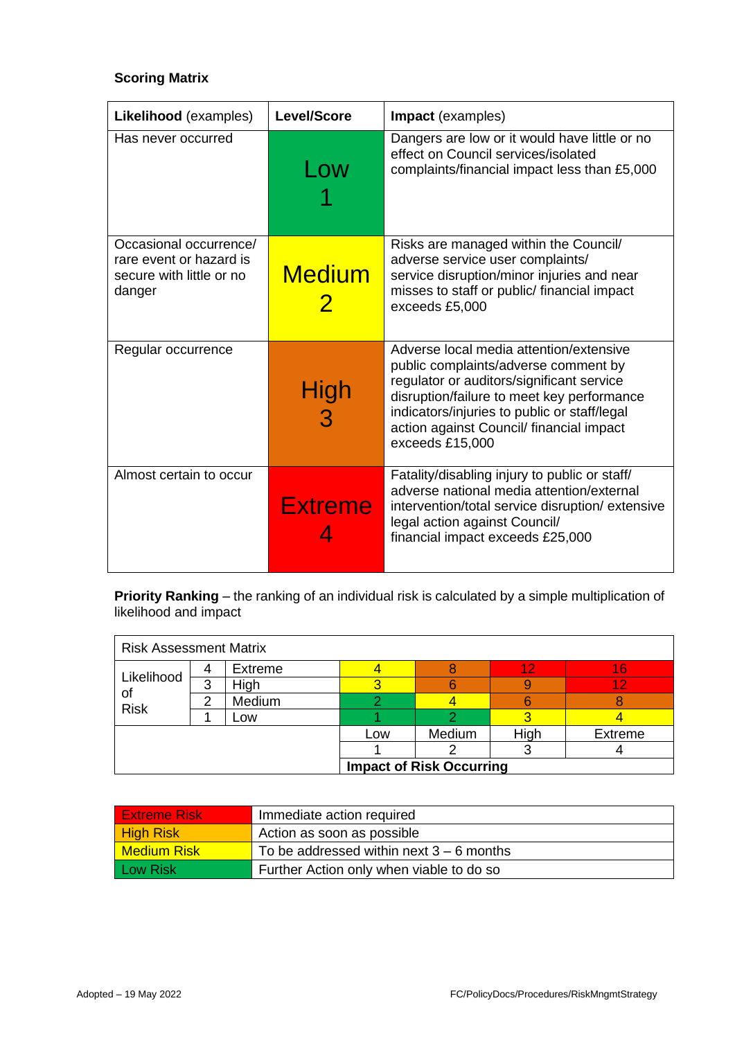# **Scoring Matrix**

| Likelihood (examples)                                                                   | <b>Level/Score</b> | Impact (examples)                                                                                                                                                                                                                                                                         |
|-----------------------------------------------------------------------------------------|--------------------|-------------------------------------------------------------------------------------------------------------------------------------------------------------------------------------------------------------------------------------------------------------------------------------------|
| Has never occurred                                                                      | Low                | Dangers are low or it would have little or no<br>effect on Council services/isolated<br>complaints/financial impact less than £5,000                                                                                                                                                      |
| Occasional occurrence/<br>rare event or hazard is<br>secure with little or no<br>danger | <b>Medium</b>      | Risks are managed within the Council/<br>adverse service user complaints/<br>service disruption/minor injuries and near<br>misses to staff or public/ financial impact<br>exceeds £5,000                                                                                                  |
| Regular occurrence                                                                      | <b>High</b>        | Adverse local media attention/extensive<br>public complaints/adverse comment by<br>regulator or auditors/significant service<br>disruption/failure to meet key performance<br>indicators/injuries to public or staff/legal<br>action against Council/ financial impact<br>exceeds £15,000 |
| Almost certain to occur                                                                 | <b>Extreme</b>     | Fatality/disabling injury to public or staff/<br>adverse national media attention/external<br>intervention/total service disruption/ extensive<br>legal action against Council/<br>financial impact exceeds £25,000                                                                       |

**Priority Ranking** – the ranking of an individual risk is calculated by a simple multiplication of likelihood and impact

| <b>Risk Assessment Matrix</b>   |   |         |     |        |      |                |
|---------------------------------|---|---------|-----|--------|------|----------------|
| Likelihood<br>οt<br><b>Risk</b> | 4 | Extreme |     |        | 12   | 16             |
|                                 | 3 | High    |     |        |      | 12             |
|                                 | 2 | Medium  |     |        |      |                |
|                                 |   | LOW.    |     |        |      |                |
|                                 |   |         | Low | Medium | High | <b>Extreme</b> |
|                                 |   |         |     |        |      |                |
| <b>Impact of Risk Occurring</b> |   |         |     |        |      |                |

| <b>Extreme Risk</b> | Immediate action required                  |
|---------------------|--------------------------------------------|
| <b>High Risk</b>    | Action as soon as possible                 |
| <b>Medium Risk</b>  | To be addressed within next $3 - 6$ months |
| <b>Low Risk</b>     | Further Action only when viable to do so   |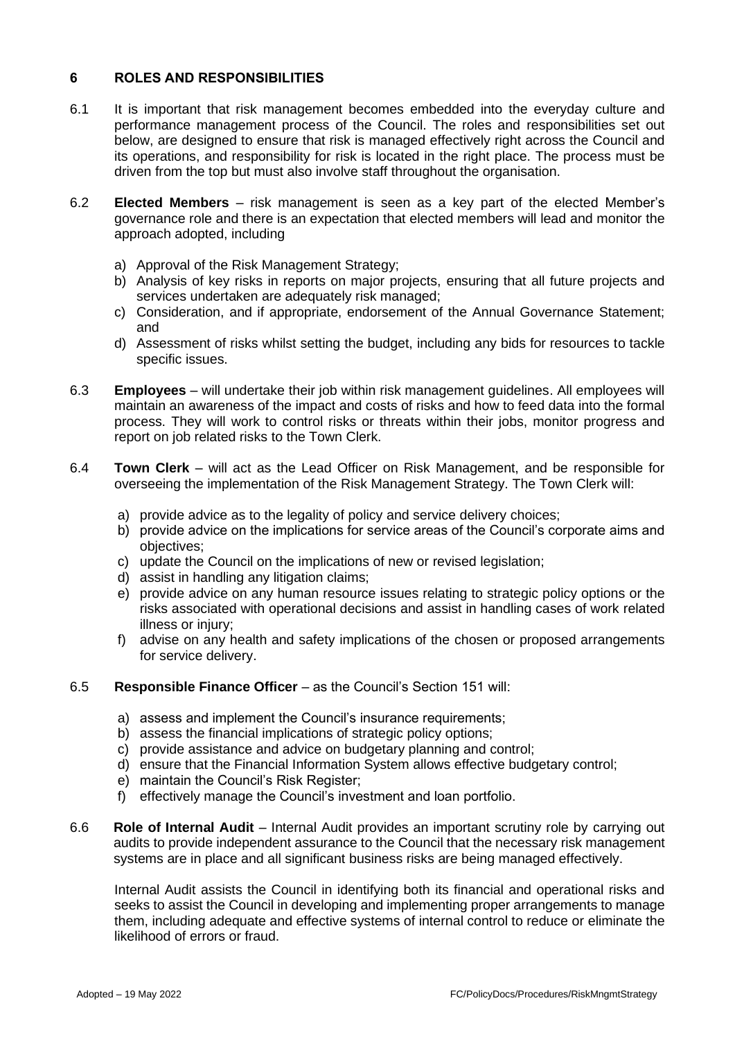# **6 ROLES AND RESPONSIBILITIES**

- 6.1 It is important that risk management becomes embedded into the everyday culture and performance management process of the Council. The roles and responsibilities set out below, are designed to ensure that risk is managed effectively right across the Council and its operations, and responsibility for risk is located in the right place. The process must be driven from the top but must also involve staff throughout the organisation.
- 6.2 **Elected Members** risk management is seen as a key part of the elected Member's governance role and there is an expectation that elected members will lead and monitor the approach adopted, including
	- a) Approval of the Risk Management Strategy;
	- b) Analysis of key risks in reports on major projects, ensuring that all future projects and services undertaken are adequately risk managed;
	- c) Consideration, and if appropriate, endorsement of the Annual Governance Statement; and
	- d) Assessment of risks whilst setting the budget, including any bids for resources to tackle specific issues.
- 6.3 **Employees** will undertake their job within risk management guidelines. All employees will maintain an awareness of the impact and costs of risks and how to feed data into the formal process. They will work to control risks or threats within their jobs, monitor progress and report on job related risks to the Town Clerk.
- 6.4 **Town Clerk** will act as the Lead Officer on Risk Management, and be responsible for overseeing the implementation of the Risk Management Strategy. The Town Clerk will:
	- a) provide advice as to the legality of policy and service delivery choices;
	- b) provide advice on the implications for service areas of the Council's corporate aims and objectives;
	- c) update the Council on the implications of new or revised legislation;
	- d) assist in handling any litigation claims;
	- e) provide advice on any human resource issues relating to strategic policy options or the risks associated with operational decisions and assist in handling cases of work related illness or injury;
	- f) advise on any health and safety implications of the chosen or proposed arrangements for service delivery.

### 6.5 **Responsible Finance Officer** – as the Council's Section 151 will:

- a) assess and implement the Council's insurance requirements;
- b) assess the financial implications of strategic policy options;
- c) provide assistance and advice on budgetary planning and control;
- d) ensure that the Financial Information System allows effective budgetary control;
- e) maintain the Council's Risk Register;
- f) effectively manage the Council's investment and loan portfolio.
- 6.6 **Role of Internal Audit** Internal Audit provides an important scrutiny role by carrying out audits to provide independent assurance to the Council that the necessary risk management systems are in place and all significant business risks are being managed effectively.

Internal Audit assists the Council in identifying both its financial and operational risks and seeks to assist the Council in developing and implementing proper arrangements to manage them, including adequate and effective systems of internal control to reduce or eliminate the likelihood of errors or fraud.